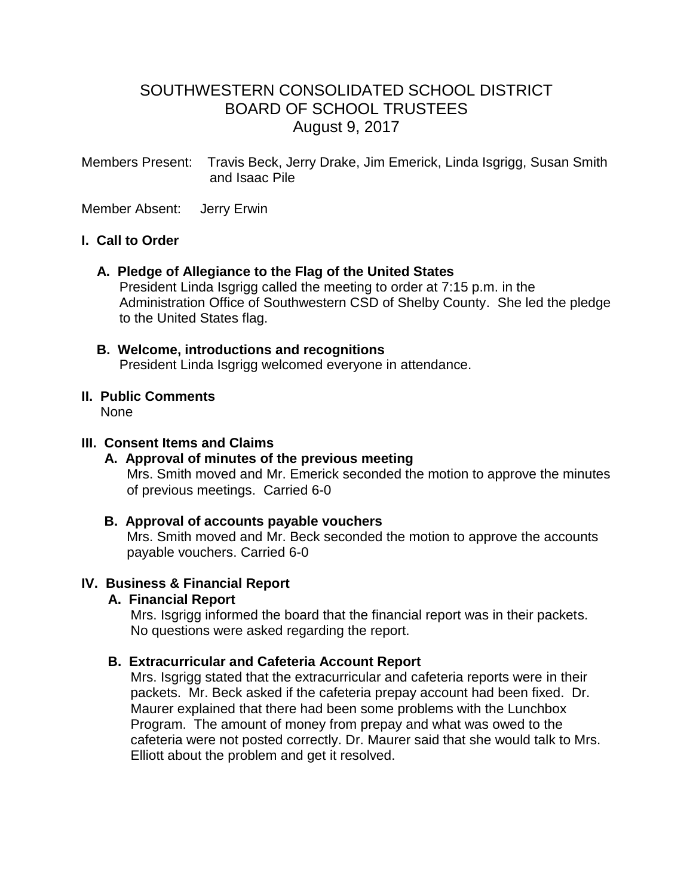# SOUTHWESTERN CONSOLIDATED SCHOOL DISTRICT BOARD OF SCHOOL TRUSTEES August 9, 2017

Members Present: Travis Beck, Jerry Drake, Jim Emerick, Linda Isgrigg, Susan Smith and Isaac Pile

Member Absent: Jerry Erwin

#### **I. Call to Order**

#### **A. Pledge of Allegiance to the Flag of the United States**

 President Linda Isgrigg called the meeting to order at 7:15 p.m. in the Administration Office of Southwestern CSD of Shelby County. She led the pledge to the United States flag.

 **B. Welcome, introductions and recognitions** President Linda Isgrigg welcomed everyone in attendance.

#### **II. Public Comments** None

#### **III. Consent Items and Claims**

# **A. Approval of minutes of the previous meeting**

Mrs. Smith moved and Mr. Emerick seconded the motion to approve the minutes of previous meetings. Carried 6-0

#### **B. Approval of accounts payable vouchers**

 Mrs. Smith moved and Mr. Beck seconded the motion to approve the accounts payable vouchers. Carried 6-0

#### **IV. Business & Financial Report**

#### **A. Financial Report**

 Mrs. Isgrigg informed the board that the financial report was in their packets. No questions were asked regarding the report.

#### **B. Extracurricular and Cafeteria Account Report**

Mrs. Isgrigg stated that the extracurricular and cafeteria reports were in their packets. Mr. Beck asked if the cafeteria prepay account had been fixed. Dr. Maurer explained that there had been some problems with the Lunchbox Program. The amount of money from prepay and what was owed to the cafeteria were not posted correctly. Dr. Maurer said that she would talk to Mrs. Elliott about the problem and get it resolved.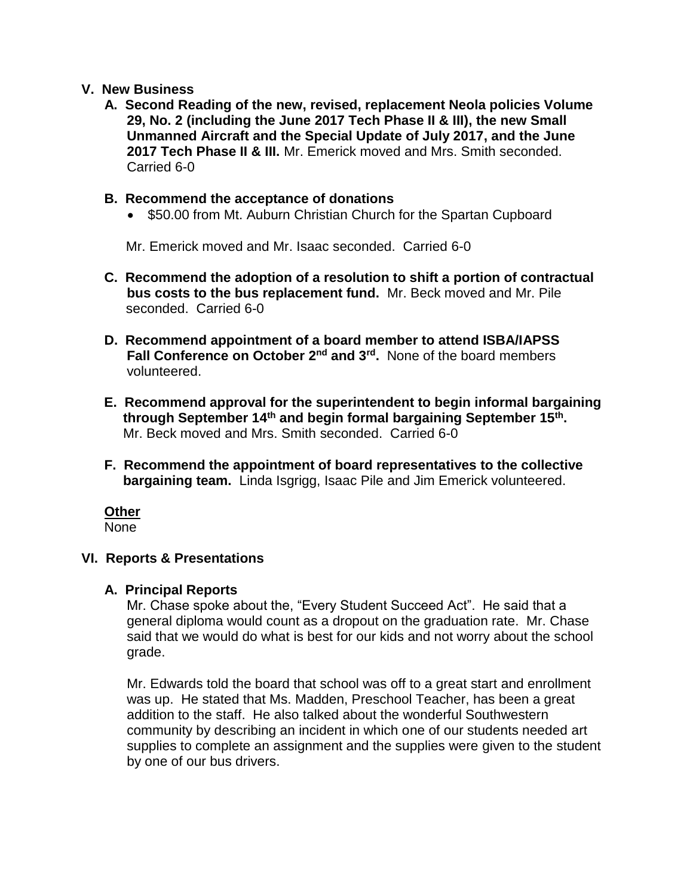#### **V. New Business**

 **A. Second Reading of the new, revised, replacement Neola policies Volume 29, No. 2 (including the June 2017 Tech Phase II & III), the new Small Unmanned Aircraft and the Special Update of July 2017, and the June 2017 Tech Phase II & III.** Mr. Emerick moved and Mrs. Smith seconded. Carried 6-0

#### **B. Recommend the acceptance of donations**

• \$50.00 from Mt. Auburn Christian Church for the Spartan Cupboard

Mr. Emerick moved and Mr. Isaac seconded. Carried 6-0

- **C. Recommend the adoption of a resolution to shift a portion of contractual bus costs to the bus replacement fund.** Mr. Beck moved and Mr. Pile seconded. Carried 6-0
- **D. Recommend appointment of a board member to attend ISBA/IAPSS Fall Conference on October 2nd and 3rd .** None of the board members volunteered.
- **E. Recommend approval for the superintendent to begin informal bargaining through September 14th and begin formal bargaining September 15th .** Mr. Beck moved and Mrs. Smith seconded. Carried 6-0
	- **F. Recommend the appointment of board representatives to the collective bargaining team.** Linda Isgrigg, Isaac Pile and Jim Emerick volunteered.

# **Other**

None

#### **VI. Reports & Presentations**

#### **A. Principal Reports**

 Mr. Chase spoke about the, "Every Student Succeed Act". He said that a general diploma would count as a dropout on the graduation rate. Mr. Chase said that we would do what is best for our kids and not worry about the school grade.

 Mr. Edwards told the board that school was off to a great start and enrollment was up. He stated that Ms. Madden, Preschool Teacher, has been a great addition to the staff. He also talked about the wonderful Southwestern community by describing an incident in which one of our students needed art supplies to complete an assignment and the supplies were given to the student by one of our bus drivers.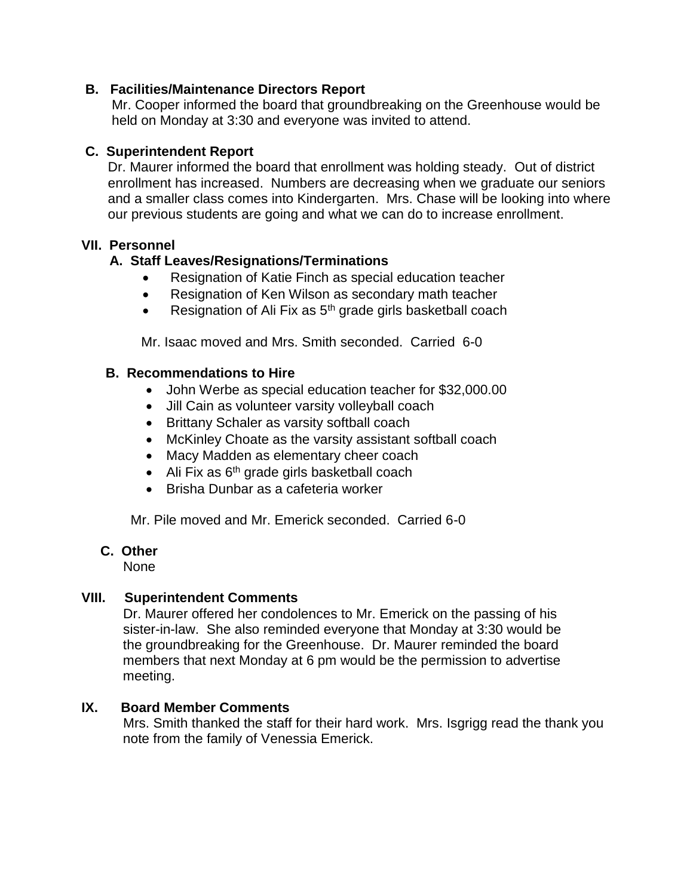### **B. Facilities/Maintenance Directors Report**

Mr. Cooper informed the board that groundbreaking on the Greenhouse would be held on Monday at 3:30 and everyone was invited to attend.

# **C. Superintendent Report**

 Dr. Maurer informed the board that enrollment was holding steady. Out of district enrollment has increased. Numbers are decreasing when we graduate our seniors and a smaller class comes into Kindergarten. Mrs. Chase will be looking into where our previous students are going and what we can do to increase enrollment.

# **VII. Personnel**

# **A. Staff Leaves/Resignations/Terminations**

- Resignation of Katie Finch as special education teacher
- Resignation of Ken Wilson as secondary math teacher
- Resignation of Ali Fix as  $5<sup>th</sup>$  grade girls basketball coach

Mr. Isaac moved and Mrs. Smith seconded. Carried 6-0

### **B. Recommendations to Hire**

- John Werbe as special education teacher for \$32,000.00
- Jill Cain as volunteer varsity volleyball coach
- Brittany Schaler as varsity softball coach
- McKinley Choate as the varsity assistant softball coach
- Macy Madden as elementary cheer coach
- $\bullet$  Ali Fix as 6<sup>th</sup> grade girls basketball coach
- Brisha Dunbar as a cafeteria worker

Mr. Pile moved and Mr. Emerick seconded. Carried 6-0

# **C. Other**

None

# **VIII. Superintendent Comments**

 Dr. Maurer offered her condolences to Mr. Emerick on the passing of his sister-in-law. She also reminded everyone that Monday at 3:30 would be the groundbreaking for the Greenhouse. Dr. Maurer reminded the board members that next Monday at 6 pm would be the permission to advertise meeting.

# **IX. Board Member Comments**

 Mrs. Smith thanked the staff for their hard work. Mrs. Isgrigg read the thank you note from the family of Venessia Emerick.